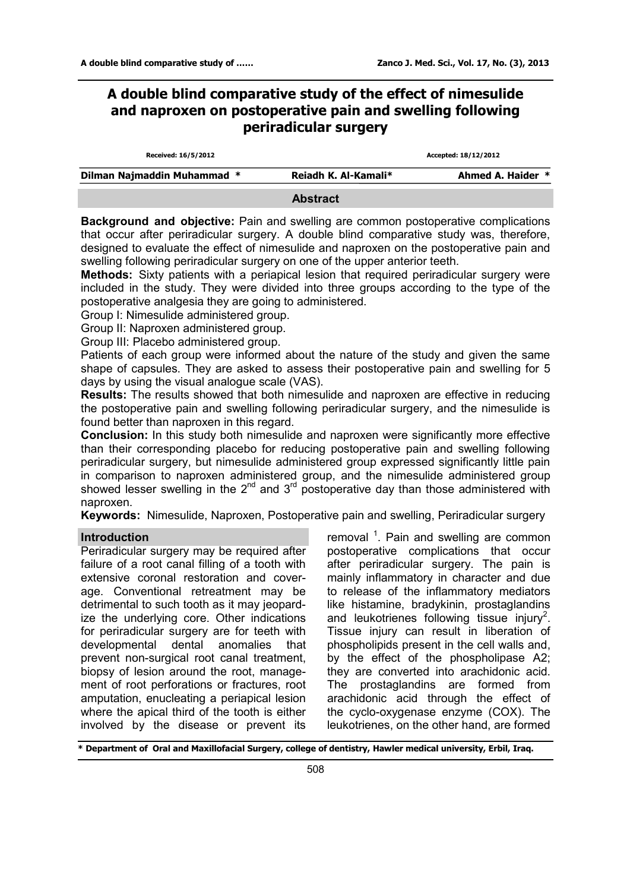# **A double blind comparative study of the effect of nimesulide and naproxen on postoperative pain and swelling following periradicular surgery**

| Received: 16/5/2012         |                      | Accepted: 18/12/2012 |  |  |
|-----------------------------|----------------------|----------------------|--|--|
| Dilman Najmaddin Muhammad * | Reiadh K. Al-Kamali* | Ahmed A. Haider *    |  |  |
|                             | <b>Abstract</b>      |                      |  |  |

**Background and objective:** Pain and swelling are common postoperative complications that occur after periradicular surgery. A double blind comparative study was, therefore, designed to evaluate the effect of nimesulide and naproxen on the postoperative pain and swelling following periradicular surgery on one of the upper anterior teeth.

**Methods:** Sixty patients with a periapical lesion that required periradicular surgery were included in the study. They were divided into three groups according to the type of the postoperative analgesia they are going to administered.

Group I: Nimesulide administered group.

Group II: Naproxen administered group.

Group III: Placebo administered group.

Patients of each group were informed about the nature of the study and given the same shape of capsules. They are asked to assess their postoperative pain and swelling for 5 days by using the visual analogue scale (VAS).

**Results:** The results showed that both nimesulide and naproxen are effective in reducing the postoperative pain and swelling following periradicular surgery, and the nimesulide is found better than naproxen in this regard.

**Conclusion:** In this study both nimesulide and naproxen were significantly more effective than their corresponding placebo for reducing postoperative pain and swelling following periradicular surgery, but nimesulide administered group expressed significantly little pain in comparison to naproxen administered group, and the nimesulide administered group showed lesser swelling in the  $2^{nd}$  and  $3^{rd}$  postoperative day than those administered with naproxen.

**Keywords:** Nimesulide, Naproxen, Postoperative pain and swelling, Periradicular surgery

### **Introduction**

Periradicular surgery may be required after failure of a root canal filling of a tooth with extensive coronal restoration and coverage. Conventional retreatment may be detrimental to such tooth as it may jeopardize the underlying core. Other indications for periradicular surgery are for teeth with developmental dental anomalies that prevent non-surgical root canal treatment, biopsy of lesion around the root, management of root perforations or fractures, root amputation, enucleating a periapical lesion where the apical third of the tooth is either involved by the disease or prevent its

removal <sup>1</sup>. Pain and swelling are common postoperative complications that occur after periradicular surgery. The pain is mainly inflammatory in character and due to release of the inflammatory mediators like histamine, bradykinin, prostaglandins and leukotrienes following tissue injury<sup>2</sup>. Tissue injury can result in liberation of phospholipids present in the cell walls and, by the effect of the phospholipase A2; they are converted into arachidonic acid. The prostaglandins are formed from arachidonic acid through the effect of the cyclo-oxygenase enzyme (COX). The leukotrienes, on the other hand, are formed

**\* Department of Oral and Maxillofacial Surgery, college of dentistry, Hawler medical university, Erbil, Iraq.**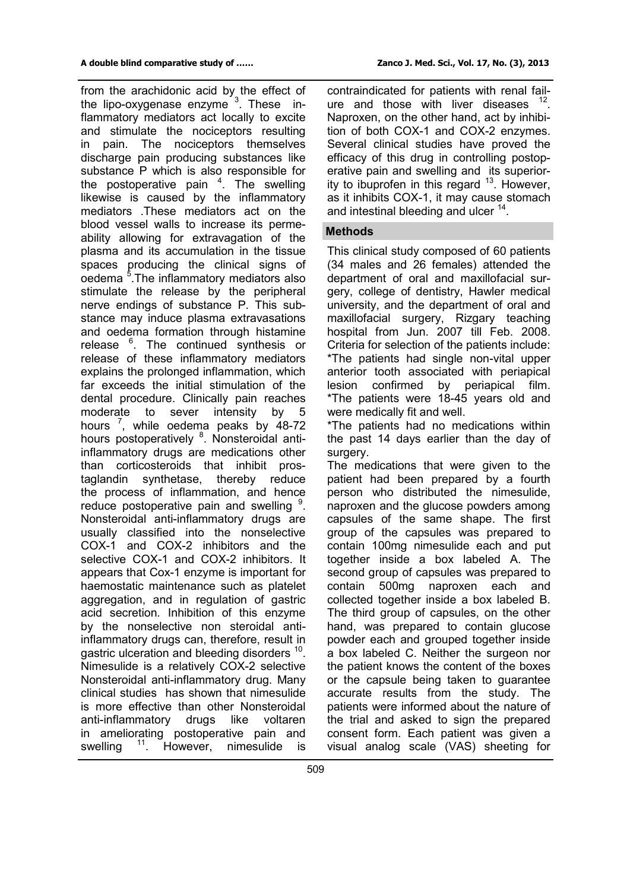from the arachidonic acid by the effect of the lipo-oxygenase enzyme <sup>3</sup>. These inflammatory mediators act locally to excite and stimulate the nociceptors resulting in pain. The nociceptors themselves discharge pain producing substances like substance P which is also responsible for the postoperative pain  $4$ . The swelling likewise is caused by the inflammatory mediators .These mediators act on the blood vessel walls to increase its permeability allowing for extravagation of the plasma and its accumulation in the tissue spaces producing the clinical signs of oedema<sup>5</sup>. The inflammatory mediators also stimulate the release by the peripheral nerve endings of substance P. This substance may induce plasma extravasations and oedema formation through histamine release <sup>6</sup>. The continued synthesis or release of these inflammatory mediators explains the prolonged inflammation, which far exceeds the initial stimulation of the dental procedure. Clinically pain reaches moderate to sever intensity by 5 hours<sup>7</sup>, while oedema peaks by 48-72 hours postoperatively <sup>8</sup>. Nonsteroidal antiinflammatory drugs are medications other than corticosteroids that inhibit prostaglandin synthetase, thereby reduce the process of inflammation, and hence reduce postoperative pain and swelling <sup>9</sup>. Nonsteroidal anti-inflammatory drugs are usually classified into the nonselective COX-1 and COX-2 inhibitors and the selective COX-1 and COX-2 inhibitors. It appears that Cox-1 enzyme is important for haemostatic maintenance such as platelet aggregation, and in regulation of gastric acid secretion. Inhibition of this enzyme by the nonselective non steroidal antiinflammatory drugs can, therefore, result in gastric ulceration and bleeding disorders <sup>10</sup>. Nimesulide is a relatively COX-2 selective Nonsteroidal anti-inflammatory drug. Many clinical studies has shown that nimesulide is more effective than other Nonsteroidal anti-inflammatory drugs like voltaren in ameliorating postoperative pain and swelling <sup>11</sup>. However, nimesulide is

contraindicated for patients with renal failure and those with liver diseases  $12$ . Naproxen, on the other hand, act by inhibition of both COX-1 and COX-2 enzymes. Several clinical studies have proved the efficacy of this drug in controlling postoperative pain and swelling and its superiority to ibuprofen in this regard  $13$ . However, as it inhibits COX-1, it may cause stomach and intestinal bleeding and ulcer <sup>14</sup>.

#### **Methods**

This clinical study composed of 60 patients (34 males and 26 females) attended the department of oral and maxillofacial surgery, college of dentistry, Hawler medical university, and the department of oral and maxillofacial surgery, Rizgary teaching hospital from Jun. 2007 till Feb. 2008. Criteria for selection of the patients include: \*The patients had single non-vital upper anterior tooth associated with periapical lesion confirmed by periapical film. \*The patients were 18-45 years old and were medically fit and well.

\*The patients had no medications within the past 14 days earlier than the day of surgery.

The medications that were given to the patient had been prepared by a fourth person who distributed the nimesulide, naproxen and the glucose powders among capsules of the same shape. The first group of the capsules was prepared to contain 100mg nimesulide each and put together inside a box labeled A. The second group of capsules was prepared to contain 500mg naproxen each and collected together inside a box labeled B. The third group of capsules, on the other hand, was prepared to contain glucose powder each and grouped together inside a box labeled C. Neither the surgeon nor the patient knows the content of the boxes or the capsule being taken to guarantee accurate results from the study. The patients were informed about the nature of the trial and asked to sign the prepared consent form. Each patient was given a visual analog scale (VAS) sheeting for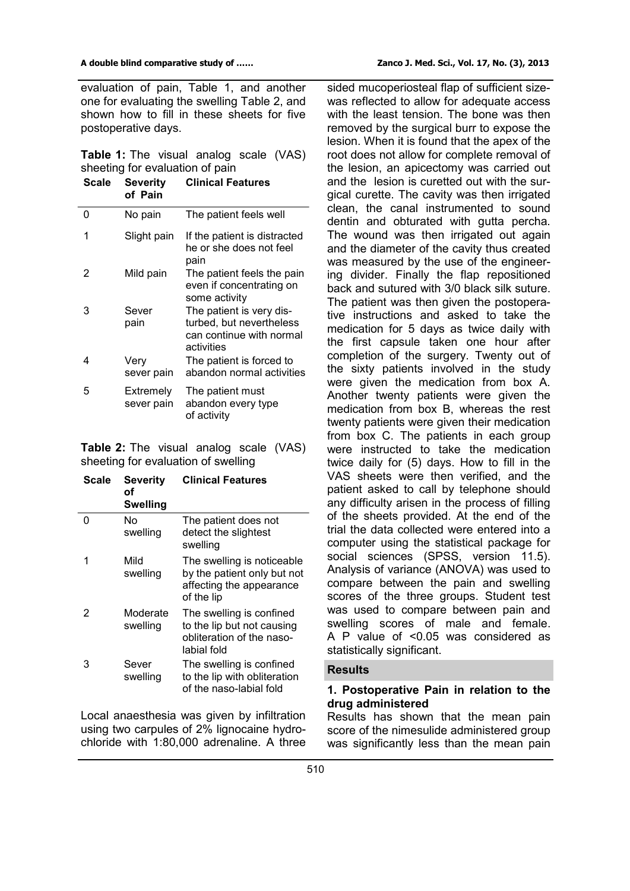evaluation of pain, Table 1, and another one for evaluating the swelling Table 2, and shown how to fill in these sheets for five postoperative days.

|  |  | <b>Table 1:</b> The visual analog scale (VAS) |  |
|--|--|-----------------------------------------------|--|
|  |  | sheeting for evaluation of pain               |  |

| Scale | Severity<br>of Pain     | <b>Clinical Features</b>                                                                       |
|-------|-------------------------|------------------------------------------------------------------------------------------------|
| 0     | No pain                 | The patient feels well                                                                         |
| 1     | Slight pain             | If the patient is distracted<br>he or she does not feel<br>pain                                |
| 2     | Mild pain               | The patient feels the pain<br>even if concentrating on<br>some activity                        |
| 3     | Sever<br>pain           | The patient is very dis-<br>turbed, but nevertheless<br>can continue with normal<br>activities |
| 4     | Very<br>sever pain      | The patient is forced to<br>abandon normal activities                                          |
| 5     | Extremely<br>sever pain | The patient must<br>abandon every type<br>of activity                                          |
|       |                         |                                                                                                |

**Table 2:** The visual analog scale (VAS) sheeting for evaluation of swelling

| Scale | <b>Severity</b><br>οf<br><b>Swelling</b> | <b>Clinical Features</b>                                                                            |
|-------|------------------------------------------|-----------------------------------------------------------------------------------------------------|
| 0     | No<br>swelling                           | The patient does not<br>detect the slightest<br>swelling                                            |
| 1     | Mild<br>swelling                         | The swelling is noticeable<br>by the patient only but not<br>affecting the appearance<br>of the lip |
| 2     | Moderate<br>swelling                     | The swelling is confined<br>to the lip but not causing<br>obliteration of the naso-<br>labial fold  |
| 3     | Sever<br>swelling                        | The swelling is confined<br>to the lip with obliteration<br>of the naso-labial fold                 |

Local anaesthesia was given by infiltration using two carpules of 2% lignocaine hydrochloride with 1:80,000 adrenaline. A three

sided mucoperiosteal flap of sufficient sizewas reflected to allow for adequate access with the least tension. The bone was then removed by the surgical burr to expose the lesion. When it is found that the apex of the root does not allow for complete removal of the lesion, an apicectomy was carried out and the lesion is curetted out with the surgical curette. The cavity was then irrigated clean, the canal instrumented to sound dentin and obturated with gutta percha. The wound was then irrigated out again and the diameter of the cavity thus created was measured by the use of the engineering divider. Finally the flap repositioned back and sutured with 3/0 black silk suture. The patient was then given the postoperative instructions and asked to take the medication for 5 days as twice daily with the first capsule taken one hour after completion of the surgery. Twenty out of the sixty patients involved in the study were given the medication from box A. Another twenty patients were given the medication from box B, whereas the rest twenty patients were given their medication from box C. The patients in each group were instructed to take the medication twice daily for (5) days. How to fill in the VAS sheets were then verified, and the patient asked to call by telephone should any difficulty arisen in the process of filling of the sheets provided. At the end of the trial the data collected were entered into a computer using the statistical package for social sciences (SPSS, version 11.5). Analysis of variance (ANOVA) was used to compare between the pain and swelling scores of the three groups. Student test was used to compare between pain and swelling scores of male and female. A P value of <0.05 was considered as statistically significant.

# **Results**

## **1. Postoperative Pain in relation to the drug administered**

Results has shown that the mean pain score of the nimesulide administered group was significantly less than the mean pain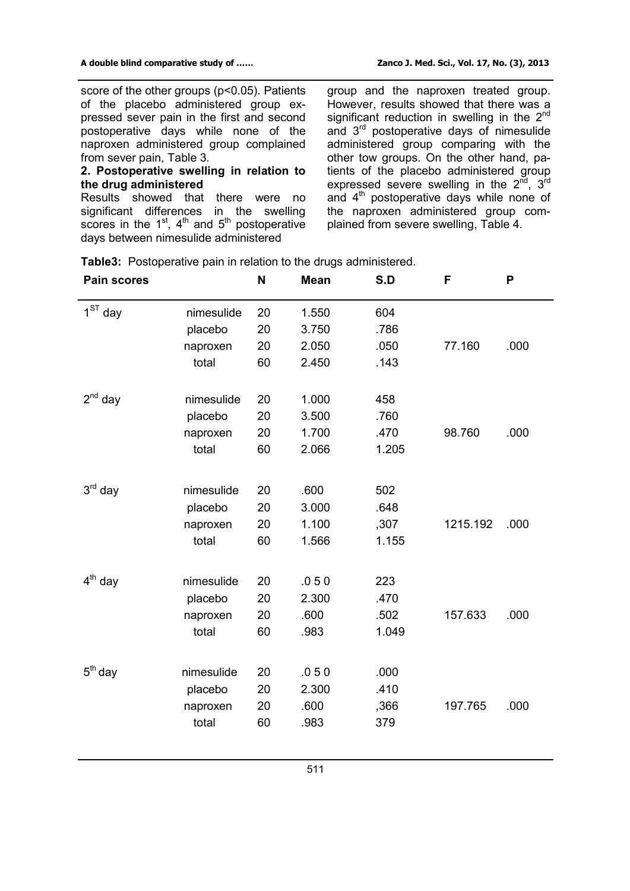score of the other groups (p<0.05). Patients of the placebo administered group expressed sever pain in the first and second postoperative days while none of the naproxen administered group complained from sever pain, Table 3.

## **2. Postoperative swelling in relation to the drug administered**

Results showed that there were no significant differences in the swelling scores in the  $1<sup>st</sup>$ ,  $4<sup>th</sup>$  and  $5<sup>th</sup>$  postoperative days between nimesulide administered

group and the naproxen treated group. However, results showed that there was a significant reduction in swelling in the  $2^{nd}$ and 3 rd postoperative days of nimesulide administered group comparing with the other tow groups. On the other hand, patients of the placebo administered group expressed severe swelling in the  $2^{\text{nd}}$ ,  $3^{\text{rd}}$ and 4<sup>th</sup> postoperative days while none of the naproxen administered group complained from severe swelling, Table 4.

| <b>Pain scores</b> |            | N  | <b>Mean</b> | S.D   | F        | P    |  |
|--------------------|------------|----|-------------|-------|----------|------|--|
| $1ST$ day          | nimesulide | 20 | 1.550       | 604   |          |      |  |
|                    | placebo    | 20 | 3.750       | .786  |          |      |  |
|                    | naproxen   | 20 | 2.050       | .050  | 77.160   | .000 |  |
|                    | total      | 60 | 2.450       | .143  |          |      |  |
| $2^{nd}$ day       | nimesulide | 20 | 1.000       | 458   |          |      |  |
|                    | placebo    | 20 | 3.500       | .760  |          |      |  |
|                    | naproxen   | 20 | 1.700       | .470  | 98.760   | .000 |  |
|                    | total      | 60 | 2.066       | 1.205 |          |      |  |
| $3rd$ day          | nimesulide | 20 | .600        | 502   |          |      |  |
|                    | placebo    | 20 | 3.000       | .648  |          |      |  |
|                    | naproxen   | 20 | 1.100       | ,307  | 1215.192 | .000 |  |
|                    | total      | 60 | 1.566       | 1.155 |          |      |  |
| $4th$ day          | nimesulide | 20 | .050        | 223   |          |      |  |
|                    | placebo    | 20 | 2.300       | .470  |          |      |  |
|                    | naproxen   | 20 | .600        | .502  | 157.633  | .000 |  |
|                    | total      | 60 | .983        | 1.049 |          |      |  |
| $5th$ day          | nimesulide | 20 | .050        | .000  |          |      |  |
|                    | placebo    | 20 | 2.300       | .410  |          |      |  |
|                    | naproxen   | 20 | .600        | ,366  | 197.765  | .000 |  |
|                    | total      | 60 | .983        | 379   |          |      |  |
|                    |            |    |             |       |          |      |  |

**Table3:** Postoperative pain in relation to the drugs administered.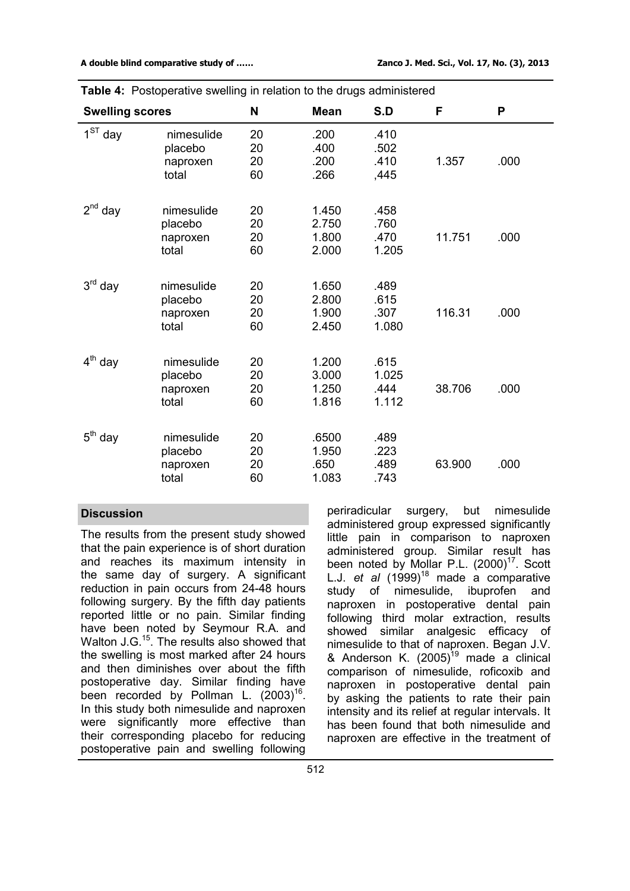| <b>Swelling scores</b> |                                            | N                    | <b>Mean</b>                      | S.D                            | F      | P    |
|------------------------|--------------------------------------------|----------------------|----------------------------------|--------------------------------|--------|------|
| $1ST$ day              | nimesulide<br>placebo<br>naproxen<br>total | 20<br>20<br>20<br>60 | .200<br>.400<br>.200<br>.266     | .410<br>.502<br>.410<br>,445   | 1.357  | .000 |
| $2^{nd}$ day           | nimesulide<br>placebo<br>naproxen<br>total | 20<br>20<br>20<br>60 | 1.450<br>2.750<br>1.800<br>2.000 | .458<br>.760<br>.470<br>1.205  | 11.751 | .000 |
| $3rd$ day              | nimesulide<br>placebo<br>naproxen<br>total | 20<br>20<br>20<br>60 | 1.650<br>2.800<br>1.900<br>2.450 | .489<br>.615<br>.307<br>1.080  | 116.31 | .000 |
| $4^{\text{th}}$<br>day | nimesulide<br>placebo<br>naproxen<br>total | 20<br>20<br>20<br>60 | 1.200<br>3.000<br>1.250<br>1.816 | .615<br>1.025<br>.444<br>1.112 | 38.706 | .000 |
| $5th$ day              | nimesulide<br>placebo<br>naproxen<br>total | 20<br>20<br>20<br>60 | .6500<br>1.950<br>.650<br>1.083  | .489<br>.223<br>.489<br>.743   | 63.900 | .000 |

| <b>Table 4:</b> Postoperative swelling in relation to the drugs administered |  |  |  |
|------------------------------------------------------------------------------|--|--|--|
|                                                                              |  |  |  |

### **Discussion**

The results from the present study showed that the pain experience is of short duration and reaches its maximum intensity in the same day of surgery. A significant reduction in pain occurs from 24-48 hours following surgery. By the fifth day patients reported little or no pain. Similar finding have been noted by Seymour R.A. and Walton J.G.<sup>15</sup>. The results also showed that the swelling is most marked after 24 hours and then diminishes over about the fifth postoperative day. Similar finding have been recorded by Pollman L.  $(2003)^{16}$ . In this study both nimesulide and naproxen were significantly more effective than their corresponding placebo for reducing postoperative pain and swelling following

periradicular surgery, but nimesulide administered group expressed significantly little pain in comparison to naproxen administered group. Similar result has been noted by Mollar P.L. (2000)<sup>17</sup>. Scott L.J. *et al* (1999) <sup>18</sup> made a comparative study of nimesulide, ibuprofen and naproxen in postoperative dental pain following third molar extraction, results showed similar analgesic efficacy of nimesulide to that of naproxen. Began J.V. & Anderson K.  $(2005)^{19}$  made a clinical comparison of nimesulide, roficoxib and naproxen in postoperative dental pain by asking the patients to rate their pain intensity and its relief at regular intervals. It has been found that both nimesulide and naproxen are effective in the treatment of